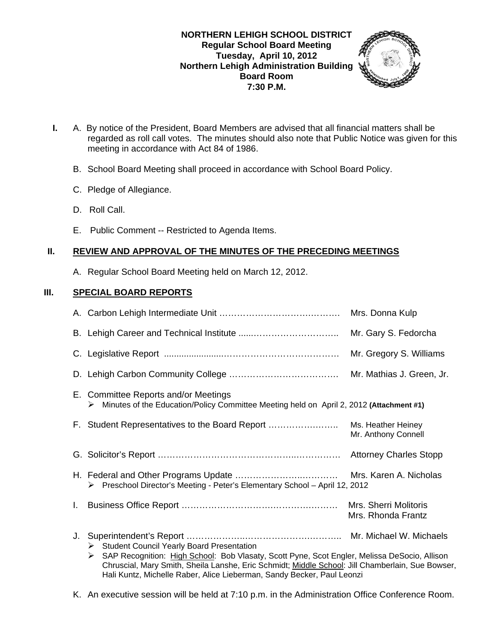### **NORTHERN LEHIGH SCHOOL DISTRICT Regular School Board Meeting Tuesday, April 10, 2012 Northern Lehigh Administration Building Board Room 7:30 P.M.**



- **I.** A. By notice of the President, Board Members are advised that all financial matters shall be regarded as roll call votes. The minutes should also note that Public Notice was given for this meeting in accordance with Act 84 of 1986.
	- B. School Board Meeting shall proceed in accordance with School Board Policy.
	- C. Pledge of Allegiance.
	- D. Roll Call.
	- E. Public Comment -- Restricted to Agenda Items.

# **II. REVIEW AND APPROVAL OF THE MINUTES OF THE PRECEDING MEETINGS**

A. Regular School Board Meeting held on March 12, 2012.

## **III. SPECIAL BOARD REPORTS**

|    |                                                                                                                                                                                                                                                    | Mrs. Donna Kulp                             |
|----|----------------------------------------------------------------------------------------------------------------------------------------------------------------------------------------------------------------------------------------------------|---------------------------------------------|
|    |                                                                                                                                                                                                                                                    | Mr. Gary S. Fedorcha                        |
|    |                                                                                                                                                                                                                                                    | Mr. Gregory S. Williams                     |
|    |                                                                                                                                                                                                                                                    | Mr. Mathias J. Green, Jr.                   |
|    | E. Committee Reports and/or Meetings<br>Minutes of the Education/Policy Committee Meeting held on April 2, 2012 (Attachment #1)<br>➤                                                                                                               |                                             |
|    | F. Student Representatives to the Board Report                                                                                                                                                                                                     | Ms. Heather Heiney<br>Mr. Anthony Connell   |
|    |                                                                                                                                                                                                                                                    |                                             |
|    | > Preschool Director's Meeting - Peter's Elementary School - April 12, 2012                                                                                                                                                                        |                                             |
| Ъ. |                                                                                                                                                                                                                                                    | Mrs. Sherri Molitoris<br>Mrs. Rhonda Frantz |
| J. | Student Council Yearly Board Presentation<br>SAP Recognition: High School: Bob Vlasaty, Scott Pyne, Scot Engler, Melissa DeSocio, Allison<br>➤<br>Chruscial, Mary Smith, Sheila Lanshe, Eric Schmidt; Middle School: Jill Chamberlain, Sue Bowser, |                                             |

Hali Kuntz, Michelle Raber, Alice Lieberman, Sandy Becker, Paul Leonzi

K. An executive session will be held at 7:10 p.m. in the Administration Office Conference Room.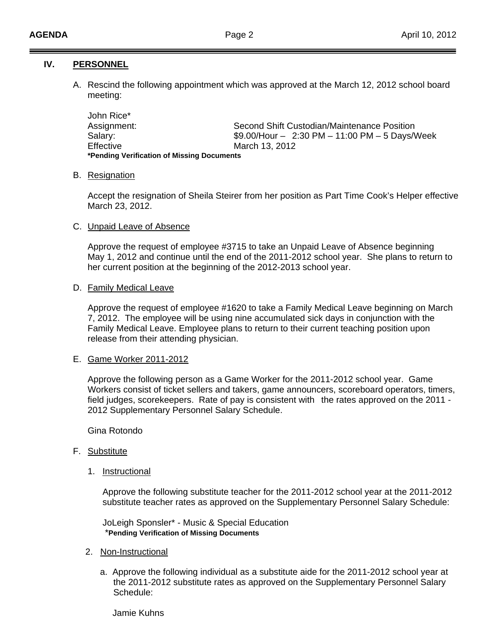### **IV. PERSONNEL**

A. Rescind the following appointment which was approved at the March 12, 2012 school board meeting:

 John Rice\* Assignment: Second Shift Custodian/Maintenance Position Salary: \$9.00/Hour – 2:30 PM – 11:00 PM – 5 Days/Week Effective March 13, 2012  **\*Pending Verification of Missing Documents** 

#### B. Resignation

 Accept the resignation of Sheila Steirer from her position as Part Time Cook's Helper effective March 23, 2012.

#### C. Unpaid Leave of Absence

 Approve the request of employee #3715 to take an Unpaid Leave of Absence beginning May 1, 2012 and continue until the end of the 2011-2012 school year. She plans to return to her current position at the beginning of the 2012-2013 school year.

#### D. Family Medical Leave

 Approve the request of employee #1620 to take a Family Medical Leave beginning on March 7, 2012. The employee will be using nine accumulated sick days in conjunction with the Family Medical Leave. Employee plans to return to their current teaching position upon release from their attending physician.

#### E. Game Worker 2011-2012

 Approve the following person as a Game Worker for the 2011-2012 school year. Game Workers consist of ticket sellers and takers, game announcers, scoreboard operators, timers, field judges, scorekeepers. Rate of pay is consistent with the rates approved on the 2011 - 2012 Supplementary Personnel Salary Schedule.

Gina Rotondo

#### F. Substitute

1. Instructional

 Approve the following substitute teacher for the 2011-2012 school year at the 2011-2012 substitute teacher rates as approved on the Supplementary Personnel Salary Schedule:

 JoLeigh Sponsler\* - Music & Special Education \***Pending Verification of Missing Documents**

#### 2. Non-Instructional

 a. Approve the following individual as a substitute aide for the 2011-2012 school year at the 2011-2012 substitute rates as approved on the Supplementary Personnel Salary Schedule:

Jamie Kuhns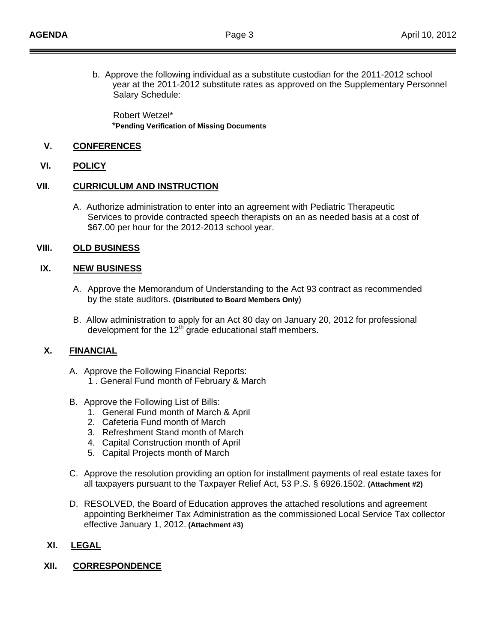b. Approve the following individual as a substitute custodian for the 2011-2012 school year at the 2011-2012 substitute rates as approved on the Supplementary Personnel Salary Schedule:

 Robert Wetzel\* \***Pending Verification of Missing Documents**

## **V. CONFERENCES**

### **VI. POLICY**

### **VII. CURRICULUM AND INSTRUCTION**

 A. Authorize administration to enter into an agreement with Pediatric Therapeutic Services to provide contracted speech therapists on an as needed basis at a cost of \$67.00 per hour for the 2012-2013 school year.

### **VIII. OLD BUSINESS**

## **IX. NEW BUSINESS**

- A. Approve the Memorandum of Understanding to the Act 93 contract as recommended by the state auditors. **(Distributed to Board Members Only**)
- B. Allow administration to apply for an Act 80 day on January 20, 2012 for professional development for the  $12<sup>th</sup>$  grade educational staff members.

## **X. FINANCIAL**

- A. Approve the Following Financial Reports:
	- 1 . General Fund month of February & March
- B. Approve the Following List of Bills:
	- 1. General Fund month of March & April
	- 2. Cafeteria Fund month of March
	- 3. Refreshment Stand month of March
	- 4. Capital Construction month of April
	- 5. Capital Projects month of March
- C. Approve the resolution providing an option for installment payments of real estate taxes for all taxpayers pursuant to the Taxpayer Relief Act, 53 P.S. § 6926.1502. **(Attachment #2)**
- D. RESOLVED, the Board of Education approves the attached resolutions and agreement appointing Berkheimer Tax Administration as the commissioned Local Service Tax collector effective January 1, 2012. **(Attachment #3)**

## **XI. LEGAL**

## **XII. CORRESPONDENCE**